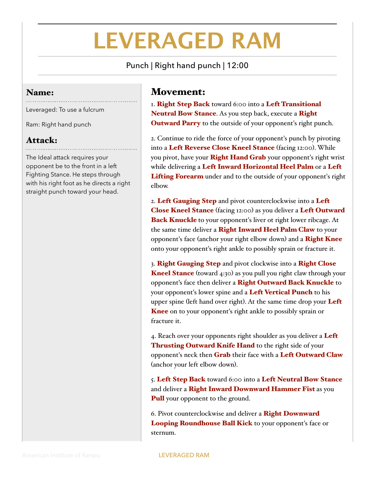## **LEVERAGED RAM**

Punch | Right hand punch | 12:00

## Name:

Leveraged: To use a fulcrum

Ram: Right hand punch

## Attack:

The Ideal attack requires your opponent be to the front in a left Fighting Stance. He steps through with his right foot as he directs a right straight punch toward your head.

## Movement:

I. Right Step Back toward 6:00 into a Left Transitional Neutral Bow Stance. As you step back, execute a Right **Outward Parry** to the outside of your opponent's right punch.

2. Continue to ride the force of your opponent's punch by pivoting into a Left Reverse Close Kneel Stance (facing 12:00). While you pivot, have your Right Hand Grab your opponent's right wrist while delivering a Left Inward Horizontal Heel Palm or a Left Lifting Forearm under and to the outside of your opponent's right elbow.

2. Left Gauging Step and pivot counterclockwise into a Left **Close Kneel Stance** (facing 12:00) as you deliver a Left Outward **Back Knuckle** to your opponent's liver ot right lower ribcage. At the same time deliver a Right Inward Heel Palm Claw to your opponent's face (anchor your right elbow down) and a **Right Knee** onto your opponent's right ankle to possibly sprain or fracture it.

3. Right Gauging Step and pivot clockwise into a Right Close **Kneel Stance** (toward 4:30) as you pull you right claw through your opponent's face then deliver a Right Outward Back Knuckle to your opponent's lower spine and a Left Vertical Punch to his upper spine (left hand over right). At the same time drop your Left Knee on to your opponent's right ankle to possibly sprain or fracture it.

4. Reach over your opponents right shoulder as you deliver a Left Thrusting Outward Knife Hand to the right side of your opponent's neck then **Grab** their face with a Left Outward Claw (anchor your left elbow down).

5. Left Step Back toward 6:00 into a Left Neutral Bow Stance and deliver a Right Inward Downward Hammer Fist as you **Pull** your opponent to the ground.

6. Pivot counterclockwise and deliver a Right Downward Looping Roundhouse Ball Kick to your opponent's face or sternum.